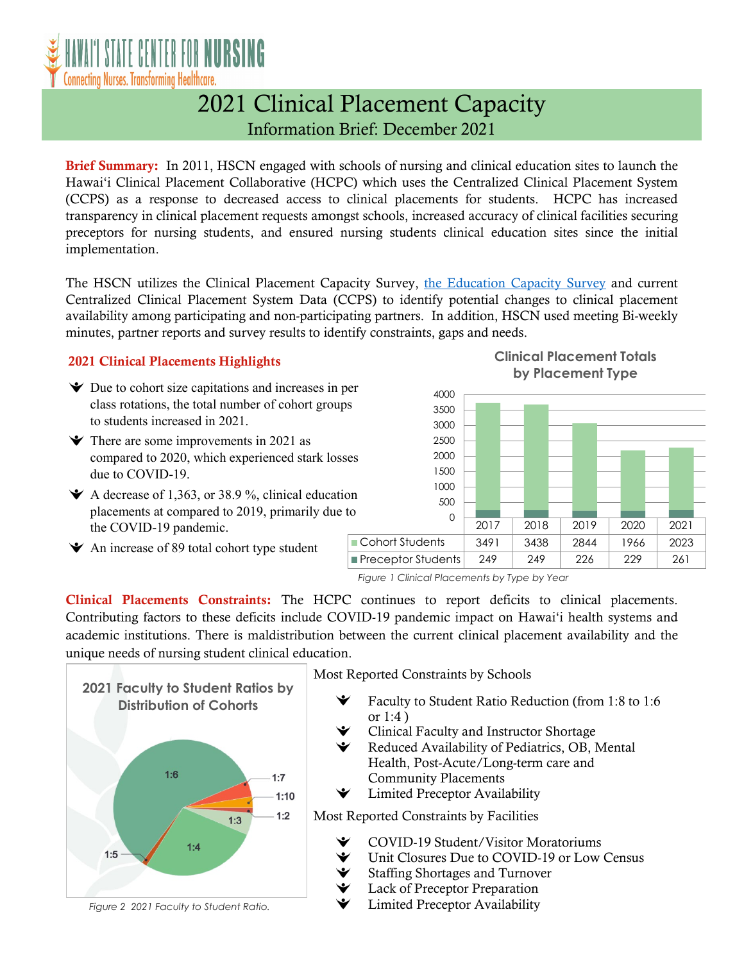

## 2021 Clinical Placement Capacity Information Brief: December 2021

Brief Summary: In 2011, HSCN engaged with schools of nursing and clinical education sites to launch the Hawai'i Clinical Placement Collaborative (HCPC) which uses the Centralized Clinical Placement System (CCPS) as a response to decreased access to clinical placements for students. HCPC has increased transparency in clinical placement requests amongst schools, increased accuracy of clinical facilities securing preceptors for nursing students, and ensured nursing students clinical education sites since the initial implementation.

The HSCN utilizes the Clinical Placement Capacity Survey, [the Education Capacity Survey](https://www.hawaiicenterfornursing.org/educationcapacity/) and current Centralized Clinical Placement System Data (CCPS) to identify potential changes to clinical placement availability among participating and non-participating partners. In addition, HSCN used meeting Bi-weekly minutes, partner reports and survey results to identify constraints, gaps and needs.

## 2021 Clinical Placements Highlights

- $\blacktriangleright$  Due to cohort size capitations and increases in per class rotations, the total number of cohort groups to students increased in 2021.
- $\blacktriangleright$  There are some improvements in 2021 as compared to 2020, which experienced stark losses due to COVID-19.
- $\blacktriangleright$  A decrease of 1,363, or 38.9 %, clinical education placements at compared to 2019, primarily due to the COVID-19 pandemic.







*Figure 1 Clinical Placements by Type by Year*

Clinical Placements Constraints: The HCPC continues to report deficits to clinical placements. Contributing factors to these deficits include COVID-19 pandemic impact on Hawai'i health systems and academic institutions. There is maldistribution between the current clinical placement availability and the unique needs of nursing student clinical education.



Most Reported Constraints by Schools

- Faculty to Student Ratio Reduction (from 1:8 to 1:6
- Clinical Faculty and Instructor Shortage
- Reduced Availability of Pediatrics, OB, Mental Health, Post-Acute/Long-term care and Community Placements
- Limited Preceptor Availability

Most Reported Constraints by Facilities

- COVID-19 Student/Visitor Moratoriums
- Unit Closures Due to COVID-19 or Low Census
- Staffing Shortages and Turnover
- Lack of Preceptor Preparation
- Limited Preceptor Availability

*Figure 2 2021 Faculty to Student Ratio.*